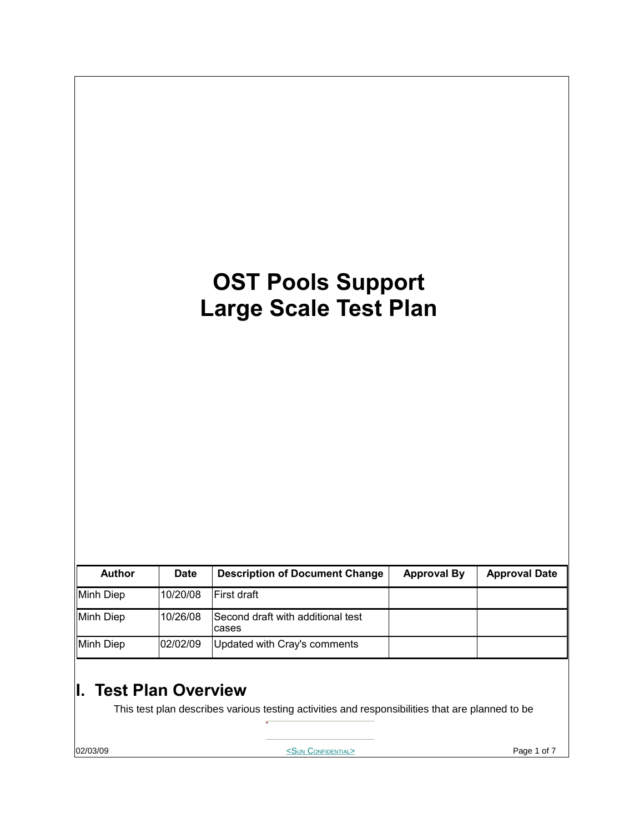# **OST Pools Support Large Scale Test Plan**

| <b>Author</b> | <b>Date</b> | <b>Description of Document Change</b>      | <b>Approval By</b> | <b>Approval Date</b> |
|---------------|-------------|--------------------------------------------|--------------------|----------------------|
| Minh Diep     | 10/20/08    | <b>IFirst draft</b>                        |                    |                      |
| Minh Diep     | 10/26/08    | Second draft with additional test<br>cases |                    |                      |
| Minh Diep     | 02/02/09    | Updated with Cray's comments               |                    |                      |

## **I. Test Plan Overview**

This test plan describes various testing activities and responsibilities that are planned to be

**02/03/09** Page 1 of 7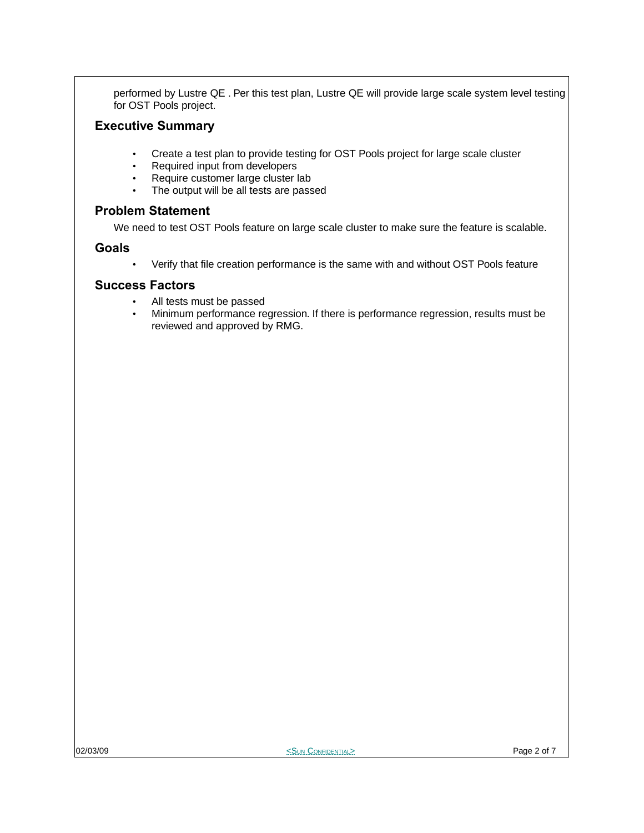performed by Lustre QE . Per this test plan, Lustre QE will provide large scale system level testing for OST Pools project.

#### **Executive Summary**

- Create a test plan to provide testing for OST Pools project for large scale cluster<br>• Required input from developers
- Required input from developers
- Require customer large cluster lab<br>• The output will be all tests are pass
- The output will be all tests are passed

#### **Problem Statement**

We need to test OST Pools feature on large scale cluster to make sure the feature is scalable.

#### **Goals**

• Verify that file creation performance is the same with and without OST Pools feature

#### **Success Factors**

- All tests must be passed
- Minimum performance regression. If there is performance regression, results must be reviewed and approved by RMG.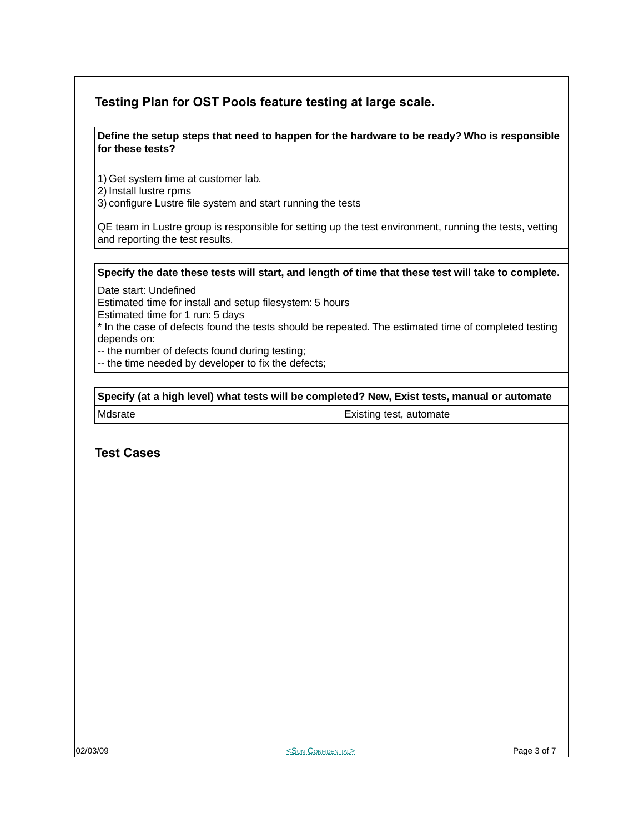### **Testing Plan for OST Pools feature testing at large scale.**

#### **Define the setup steps that need to happen for the hardware to be ready? Who is responsible for these tests?**

1) Get system time at customer lab.

- 2) Install lustre rpms
- 3) configure Lustre file system and start running the tests

QE team in Lustre group is responsible for setting up the test environment, running the tests, vetting and reporting the test results.

#### **Specify the date these tests will start, and length of time that these test will take to complete.**

Date start: Undefined

Estimated time for install and setup filesystem: 5 hours

Estimated time for 1 run: 5 days

\* In the case of defects found the tests should be repeated. The estimated time of completed testing depends on:

-- the number of defects found during testing;

-- the time needed by developer to fix the defects;

**Specify (at a high level) what tests will be completed? New, Exist tests, manual or automate**

Mdsrate **Existing test, automate** 

**Test Cases**

orthogonal CONFIDENTIAL CONFIDENTIAL CONFIDENTIAL Page 3 of 7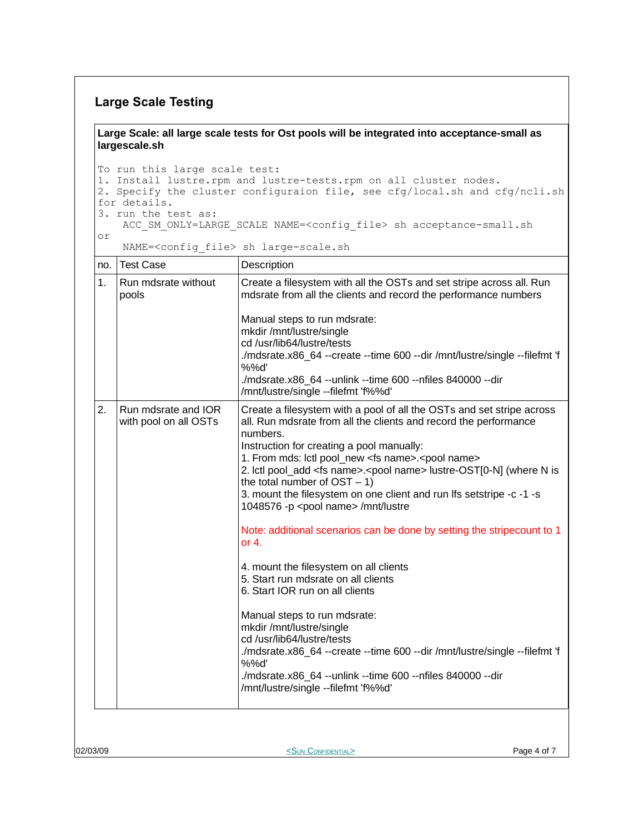#### **Large Scale Testing**

**Large Scale: all large scale tests for Ost pools will be integrated into acceptance-small as largescale.sh**

To run this large scale test: 1. Install lustre.rpm and lustre-tests.rpm on all cluster nodes. 2. Specify the cluster configuraion file, see cfg/local.sh and cfg/ncli.sh for details. 3. run the test as:

ACC\_SM\_ONLY=LARGE\_SCALE NAME=<config\_file> sh acceptance-small.sh

or

NAME=<config\_file> sh large-scale.sh

| no. | <b>Test Case</b>                             | Description                                                                                                                                                                                                                                                                                                                                                                                                                                                                                                                                                                                                                                                                                                                                                                                                                                                                                                                                                                                                                                                    |
|-----|----------------------------------------------|----------------------------------------------------------------------------------------------------------------------------------------------------------------------------------------------------------------------------------------------------------------------------------------------------------------------------------------------------------------------------------------------------------------------------------------------------------------------------------------------------------------------------------------------------------------------------------------------------------------------------------------------------------------------------------------------------------------------------------------------------------------------------------------------------------------------------------------------------------------------------------------------------------------------------------------------------------------------------------------------------------------------------------------------------------------|
| 1.  | Run mdsrate without<br>pools                 | Create a filesystem with all the OSTs and set stripe across all. Run<br>mdsrate from all the clients and record the performance numbers<br>Manual steps to run mdsrate:<br>mkdir /mnt/lustre/single<br>cd/usr/lib64/lustre/tests<br>./mdsrate.x86_64 --create --time 600 --dir /mnt/lustre/single --filefmt 'f<br>%%d'<br>./mdsrate.x86_64 --unlink --time 600 --nfiles 840000 --dir<br>/mnt/lustre/single --filefmt 'f%%d'                                                                                                                                                                                                                                                                                                                                                                                                                                                                                                                                                                                                                                    |
| 2.  | Run mdsrate and IOR<br>with pool on all OSTs | Create a filesystem with a pool of all the OSTs and set stripe across<br>all. Run mdsrate from all the clients and record the performance<br>numbers.<br>Instruction for creating a pool manually:<br>1. From mds: lctl pool_new <fs name="">.<pool name=""><br/>2. Ictl pool_add <fs name="">.<pool name=""> lustre-OST[0-N] (where N is<br/>the total number of <math>OST - 1</math>)<br/>3. mount the filesystem on one client and run Ifs setstripe -c -1 -s<br/>1048576 -p <pool name=""> /mnt/lustre<br/>Note: additional scenarios can be done by setting the stripecount to 1<br/>or <math>4.</math><br/>4. mount the filesystem on all clients<br/>5. Start run mdsrate on all clients<br/>6. Start IOR run on all clients<br/>Manual steps to run mdsrate:<br/>mkdir /mnt/lustre/single<br/>cd /usr/lib64/lustre/tests<br/>./mdsrate.x86_64 --create --time 600 --dir /mnt/lustre/single --filefmt 'f<br/>%%d'<br/>./mdsrate.x86_64 --unlink --time 600 --nfiles 840000 --dir<br/>/mnt/lustre/single --filefmt 'f%%d'</pool></pool></fs></pool></fs> |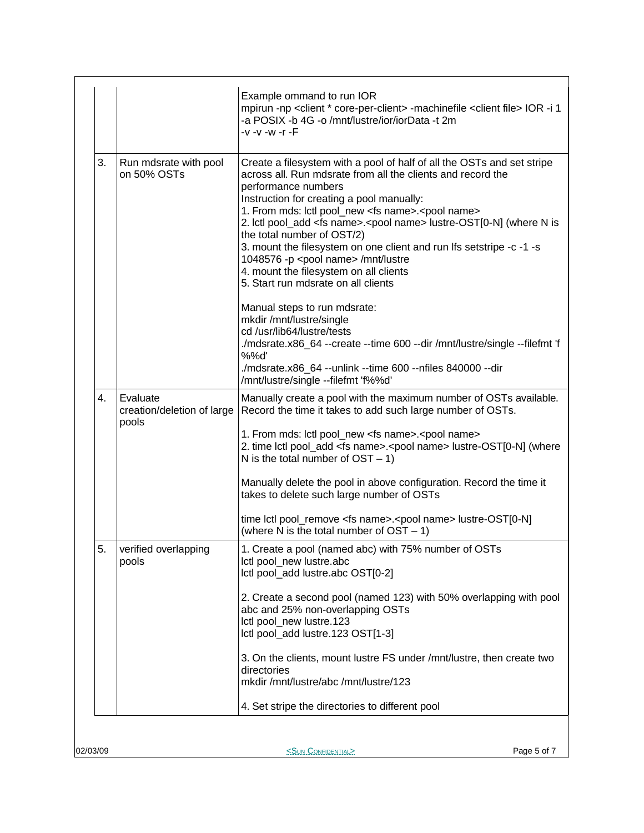|    |                                                 | Example ommand to run IOR<br>mpirun -np <client *="" core-per-client=""> -machinefile <client file=""> IOR -i 1<br/>-a POSIX -b 4G -o /mnt/lustre/ior/iorData -t 2m<br/>-v -v -w -r -F</client></client>                                                                                                                                                                                                                                                                                                                                                                                                             |
|----|-------------------------------------------------|----------------------------------------------------------------------------------------------------------------------------------------------------------------------------------------------------------------------------------------------------------------------------------------------------------------------------------------------------------------------------------------------------------------------------------------------------------------------------------------------------------------------------------------------------------------------------------------------------------------------|
| 3. | Run mdsrate with pool<br>on 50% OSTs            | Create a filesystem with a pool of half of all the OSTs and set stripe<br>across all. Run mdsrate from all the clients and record the<br>performance numbers<br>Instruction for creating a pool manually:<br>1. From mds: lctl pool_new <fs name="">.<pool name=""><br/>2. Ictl pool_add <fs name="">.<pool name=""> lustre-OST[0-N] (where N is<br/>the total number of OST/2)<br/>3. mount the filesystem on one client and run Ifs setstripe -c -1 -s<br/>1048576 -p <pool name=""> /mnt/lustre<br/>4. mount the filesystem on all clients<br/>5. Start run mdsrate on all clients</pool></pool></fs></pool></fs> |
|    |                                                 | Manual steps to run mdsrate:<br>mkdir /mnt/lustre/single<br>cd/usr/lib64/lustre/tests<br>./mdsrate.x86_64 --create --time 600 --dir /mnt/lustre/single --filefmt 'f<br>%%d'<br>./mdsrate.x86_64 --unlink --time 600 --nfiles 840000 --dir<br>/mnt/lustre/single --filefmt 'f%%d'                                                                                                                                                                                                                                                                                                                                     |
| 4. | Evaluate<br>creation/deletion of large<br>pools | Manually create a pool with the maximum number of OSTs available.<br>Record the time it takes to add such large number of OSTs.<br>1. From mds: Ictl pool_new <fs name="">.<pool name=""><br/>2. time lctl pool_add <fs name="">.<pool name=""> lustre-OST[0-N] (where<br/>N is the total number of <math>OST - 1</math>)</pool></fs></pool></fs>                                                                                                                                                                                                                                                                    |
|    |                                                 | Manually delete the pool in above configuration. Record the time it<br>takes to delete such large number of OSTs                                                                                                                                                                                                                                                                                                                                                                                                                                                                                                     |
|    |                                                 | time lctl pool_remove <fs name="">.<pool name=""> lustre-OST[0-N]<br/>(where N is the total number of <math>OST - 1</math>)</pool></fs>                                                                                                                                                                                                                                                                                                                                                                                                                                                                              |
| 5. | verified overlapping<br>pools                   | 1. Create a pool (named abc) with 75% number of OSTs<br>Ictl pool_new lustre.abc<br>Ictl pool_add lustre.abc OST[0-2]                                                                                                                                                                                                                                                                                                                                                                                                                                                                                                |
|    |                                                 | 2. Create a second pool (named 123) with 50% overlapping with pool<br>abc and 25% non-overlapping OSTs<br>Ictl pool_new lustre.123<br>Ictl pool_add lustre.123 OST[1-3]                                                                                                                                                                                                                                                                                                                                                                                                                                              |
|    |                                                 | 3. On the clients, mount lustre FS under /mnt/lustre, then create two<br>directories<br>mkdir /mnt/lustre/abc /mnt/lustre/123                                                                                                                                                                                                                                                                                                                                                                                                                                                                                        |
|    |                                                 | 4. Set stripe the directories to different pool                                                                                                                                                                                                                                                                                                                                                                                                                                                                                                                                                                      |

02/03/09 **Page 5 of 7**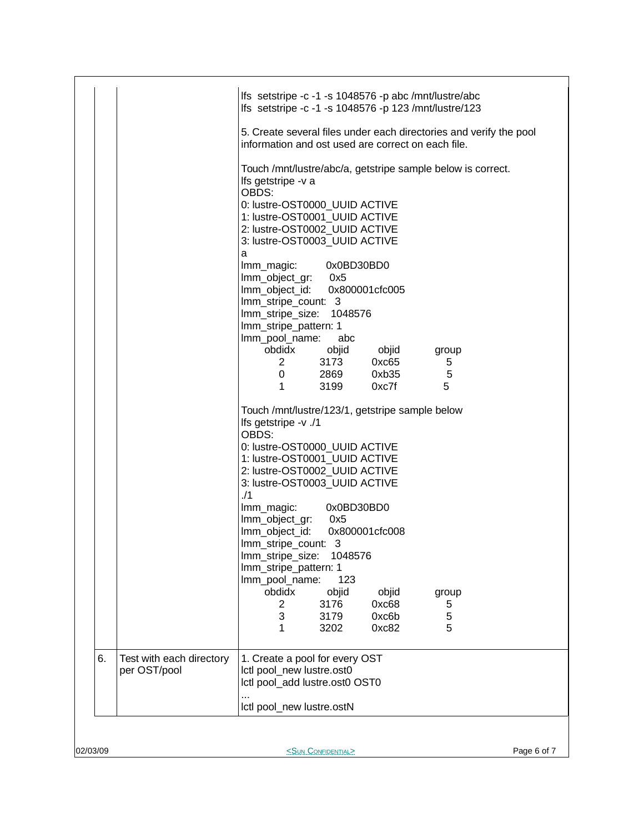|          |                          | Ifs setstripe -c -1 -s 1048576 -p abc /mnt/lustre/abc<br>Ifs setstripe -c -1 -s 1048576 -p 123 /mnt/lustre/123           |
|----------|--------------------------|--------------------------------------------------------------------------------------------------------------------------|
|          |                          | 5. Create several files under each directories and verify the pool<br>information and ost used are correct on each file. |
|          |                          | Touch /mnt/lustre/abc/a, getstripe sample below is correct.<br>Ifs getstripe -v a                                        |
|          |                          | OBDS:<br>0: lustre-OST0000 UUID ACTIVE                                                                                   |
|          |                          | 1: lustre-OST0001 UUID ACTIVE<br>2: lustre-OST0002_UUID ACTIVE                                                           |
|          |                          | 3: lustre-OST0003_UUID ACTIVE                                                                                            |
|          |                          | a<br>0x0BD30BD0<br>Imm_magic:                                                                                            |
|          |                          | lmm_object_gr: 0x5                                                                                                       |
|          |                          | Imm_object_id: 0x800001cfc005<br>Imm_stripe_count: 3                                                                     |
|          |                          | Imm_stripe_size: 1048576<br>Imm_stripe_pattern: 1                                                                        |
|          |                          | Imm_pool_name:<br>abc                                                                                                    |
|          |                          | obdidx<br>objid objid group<br>3173<br>0xc65<br>$2 \left( \frac{1}{2} \right)$<br>5                                      |
|          |                          | 5<br>0 2869 0xb35                                                                                                        |
|          |                          | 5<br>1<br>3199 0xc7f                                                                                                     |
|          |                          | Touch /mnt/lustre/123/1, getstripe sample below<br>lfs getstripe -v ./1                                                  |
|          |                          | OBDS:<br>0: lustre-OST0000_UUID ACTIVE                                                                                   |
|          |                          | 1: lustre-OST0001_UUID ACTIVE<br>2: lustre-OST0002_UUID ACTIVE                                                           |
|          |                          | 3: lustre-OST0003_UUID ACTIVE                                                                                            |
|          |                          | 1/1<br>0x0BD30BD0<br>Imm_magic:                                                                                          |
|          |                          | Imm_object_gr: 0x5<br>Imm_object_id: 0x800001cfc008                                                                      |
|          |                          | Imm stripe count: 3                                                                                                      |
|          |                          | Imm_stripe_size:<br>1048576<br>Imm_stripe_pattern: 1                                                                     |
|          |                          | Imm_pool_name:<br>123                                                                                                    |
|          |                          | obdidx<br>objid<br>objid<br>group<br>3176<br>2<br>0xc68<br>5                                                             |
|          |                          | 3<br>5<br>3179<br>0xc6b<br>5<br>1<br>3202<br>0xc82                                                                       |
| 6.       | Test with each directory | 1. Create a pool for every OST                                                                                           |
|          | per OST/pool             | Ictl pool_new lustre.ost0<br>Ictl pool_add lustre.ost0 OST0                                                              |
|          |                          | Ictl pool_new lustre.ostN                                                                                                |
|          |                          |                                                                                                                          |
| 02/03/09 |                          | <sun confidential=""><br/>Page 6 of 7</sun>                                                                              |